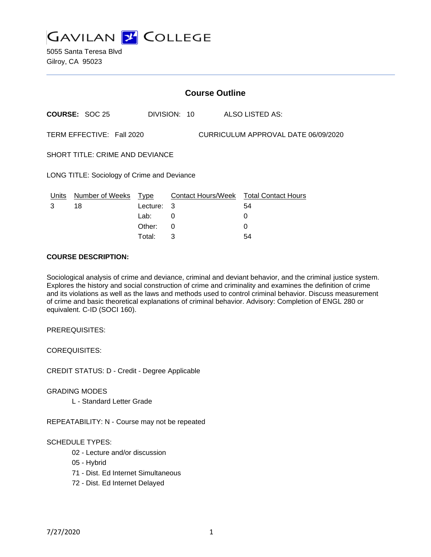

5055 Santa Teresa Blvd Gilroy, CA 95023

|                                             | <b>Course Outline</b> |             |              |                                     |                                        |  |  |
|---------------------------------------------|-----------------------|-------------|--------------|-------------------------------------|----------------------------------------|--|--|
|                                             | <b>COURSE: SOC 25</b> |             | DIVISION: 10 |                                     | ALSO LISTED AS:                        |  |  |
| TERM EFFECTIVE: Fall 2020                   |                       |             |              | CURRICULUM APPROVAL DATE 06/09/2020 |                                        |  |  |
| <b>SHORT TITLE: CRIME AND DEVIANCE</b>      |                       |             |              |                                     |                                        |  |  |
| LONG TITLE: Sociology of Crime and Deviance |                       |             |              |                                     |                                        |  |  |
| Units                                       | Number of Weeks       | <u>Type</u> |              |                                     | Contact Hours/Week Total Contact Hours |  |  |
| 3                                           | 18                    | Lecture:    | 3            |                                     | 54                                     |  |  |
|                                             |                       | Lab:        | 0            |                                     | 0                                      |  |  |
|                                             |                       | Other:      | 0            |                                     | 0                                      |  |  |

Total: 3 54

### **COURSE DESCRIPTION:**

Sociological analysis of crime and deviance, criminal and deviant behavior, and the criminal justice system. Explores the history and social construction of crime and criminality and examines the definition of crime and its violations as well as the laws and methods used to control criminal behavior. Discuss measurement of crime and basic theoretical explanations of criminal behavior. Advisory: Completion of ENGL 280 or equivalent. C-ID (SOCI 160).

PREREQUISITES:

COREQUISITES:

CREDIT STATUS: D - Credit - Degree Applicable

GRADING MODES

L - Standard Letter Grade

REPEATABILITY: N - Course may not be repeated

# SCHEDULE TYPES:

- 02 Lecture and/or discussion
- 05 Hybrid

71 - Dist. Ed Internet Simultaneous

72 - Dist. Ed Internet Delayed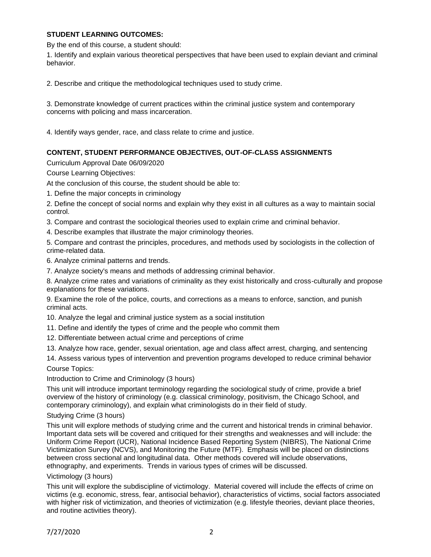# **STUDENT LEARNING OUTCOMES:**

By the end of this course, a student should:

1. Identify and explain various theoretical perspectives that have been used to explain deviant and criminal behavior.

2. Describe and critique the methodological techniques used to study crime.

3. Demonstrate knowledge of current practices within the criminal justice system and contemporary concerns with policing and mass incarceration.

4. Identify ways gender, race, and class relate to crime and justice.

# **CONTENT, STUDENT PERFORMANCE OBJECTIVES, OUT-OF-CLASS ASSIGNMENTS**

Curriculum Approval Date 06/09/2020

Course Learning Objectives:

At the conclusion of this course, the student should be able to:

1. Define the major concepts in criminology

2. Define the concept of social norms and explain why they exist in all cultures as a way to maintain social control.

3. Compare and contrast the sociological theories used to explain crime and criminal behavior.

4. Describe examples that illustrate the major criminology theories.

5. Compare and contrast the principles, procedures, and methods used by sociologists in the collection of crime-related data.

6. Analyze criminal patterns and trends.

7. Analyze society's means and methods of addressing criminal behavior.

8. Analyze crime rates and variations of criminality as they exist historically and cross-culturally and propose explanations for these variations.

9. Examine the role of the police, courts, and corrections as a means to enforce, sanction, and punish criminal acts.

10. Analyze the legal and criminal justice system as a social institution

11. Define and identify the types of crime and the people who commit them

12. Differentiate between actual crime and perceptions of crime

13. Analyze how race, gender, sexual orientation, age and class affect arrest, charging, and sentencing

14. Assess various types of intervention and prevention programs developed to reduce criminal behavior Course Topics:

Introduction to Crime and Criminology (3 hours)

This unit will introduce important terminology regarding the sociological study of crime, provide a brief overview of the history of criminology (e.g. classical criminology, positivism, the Chicago School, and contemporary criminology), and explain what criminologists do in their field of study.

## Studying Crime (3 hours)

This unit will explore methods of studying crime and the current and historical trends in criminal behavior. Important data sets will be covered and critiqued for their strengths and weaknesses and will include: the Uniform Crime Report (UCR), National Incidence Based Reporting System (NIBRS), The National Crime Victimization Survey (NCVS), and Monitoring the Future (MTF). Emphasis will be placed on distinctions between cross sectional and longitudinal data. Other methods covered will include observations, ethnography, and experiments. Trends in various types of crimes will be discussed.

## Victimology (3 hours)

This unit will explore the subdiscipline of victimology. Material covered will include the effects of crime on victims (e.g. economic, stress, fear, antisocial behavior), characteristics of victims, social factors associated with higher risk of victimization, and theories of victimization (e.g. lifestyle theories, deviant place theories, and routine activities theory).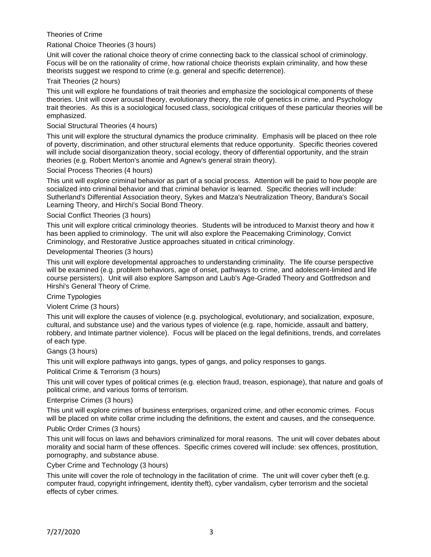Theories of Crime

### Rational Choice Theories (3 hours)

Unit will cover the rational choice theory of crime connecting back to the classical school of criminology. Focus will be on the rationality of crime, how rational choice theorists explain criminality, and how these theorists suggest we respond to crime (e.g. general and specific deterrence).

### Trait Theories (2 hours)

This unit will explore he foundations of trait theories and emphasize the sociological components of these theories. Unit will cover arousal theory, evolutionary theory, the role of genetics in crime, and Psychology trait theories. As this is a sociological focused class, sociological critiques of these particular theories will be emphasized.

### Social Structural Theories (4 hours)

This unit will explore the structural dynamics the produce criminality. Emphasis will be placed on thee role of poverty, discrimination, and other structural elements that reduce opportunity. Specific theories covered will include social disorganization theory, social ecology, theory of differential opportunity, and the strain theories (e.g. Robert Merton's anomie and Agnew's general strain theory).

### Social Process Theories (4 hours)

This unit will explore criminal behavior as part of a social process. Attention will be paid to how people are socialized into criminal behavior and that criminal behavior is learned. Specific theories will include: Sutherland's Differential Association theory, Sykes and Matza's Neutralization Theory, Bandura's Socail Learning Theory, and Hirchi's Social Bond Theory.

### Social Conflict Theories (3 hours)

This unit will explore critical criminology theories. Students will be introduced to Marxist theory and how it has been applied to criminology. The unit will also explore the Peacemaking Criminology, Convict Criminology, and Restorative Justice approaches situated in critical criminology.

### Developmental Theories (3 hours)

This unit will explore developmental approaches to understanding criminality. The life course perspective will be examined (e.g. problem behaviors, age of onset, pathways to crime, and adolescent-limited and life course persisters). Unit will also explore Sampson and Laub's Age-Graded Theory and Gottfredson and Hirshi's General Theory of Crime.

#### Crime Typologies

### Violent Crime (3 hours)

This unit will explore the causes of violence (e.g. psychological, evolutionary, and socialization, exposure, cultural, and substance use) and the various types of violence (e.g. rape, homicide, assault and battery, robbery, and Intimate partner violence). Focus will be placed on the legal definitions, trends, and correlates of each type.

#### Gangs (3 hours)

This unit will explore pathways into gangs, types of gangs, and policy responses to gangs.

#### Political Crime & Terrorism (3 hours)

This unit will cover types of political crimes (e.g. election fraud, treason, espionage), that nature and goals of political crime, and various forms of terrorism.

#### Enterprise Crimes (3 hours)

This unit will explore crimes of business enterprises, organized crime, and other economic crimes. Focus will be placed on white collar crime including the definitions, the extent and causes, and the consequence.

#### Public Order Crimes (3 hours)

This unit will focus on laws and behaviors criminalized for moral reasons. The unit will cover debates about morality and social harm of these offences. Specific crimes covered will include: sex offences, prostitution, pornography, and substance abuse.

#### Cyber Crime and Technology (3 hours)

This unite will cover the role of technology in the facilitation of crime. The unit will cover cyber theft (e.g. computer fraud, copyright infringement, identity theft), cyber vandalism, cyber terrorism and the societal effects of cyber crimes.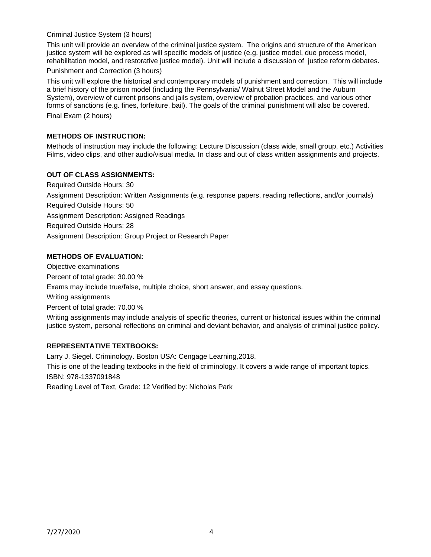## Criminal Justice System (3 hours)

This unit will provide an overview of the criminal justice system. The origins and structure of the American justice system will be explored as will specific models of justice (e.g. justice model, due process model, rehabilitation model, and restorative justice model). Unit will include a discussion of justice reform debates.

### Punishment and Correction (3 hours)

This unit will explore the historical and contemporary models of punishment and correction. This will include a brief history of the prison model (including the Pennsylvania/ Walnut Street Model and the Auburn System), overview of current prisons and jails system, overview of probation practices, and various other forms of sanctions (e.g. fines, forfeiture, bail). The goals of the criminal punishment will also be covered. Final Exam (2 hours)

# **METHODS OF INSTRUCTION:**

Methods of instruction may include the following: Lecture Discussion (class wide, small group, etc.) Activities Films, video clips, and other audio/visual media. In class and out of class written assignments and projects.

## **OUT OF CLASS ASSIGNMENTS:**

Required Outside Hours: 30 Assignment Description: Written Assignments (e.g. response papers, reading reflections, and/or journals) Required Outside Hours: 50 Assignment Description: Assigned Readings Required Outside Hours: 28 Assignment Description: Group Project or Research Paper

## **METHODS OF EVALUATION:**

Objective examinations Percent of total grade: 30.00 % Exams may include true/false, multiple choice, short answer, and essay questions. Writing assignments Percent of total grade: 70.00 % Writing assignments may include analysis of specific theories, current or historical issues within the criminal justice system, personal reflections on criminal and deviant behavior, and analysis of criminal justice policy.

## **REPRESENTATIVE TEXTBOOKS:**

Larry J. Siegel. Criminology. Boston USA: Cengage Learning,2018. This is one of the leading textbooks in the field of criminology. It covers a wide range of important topics. ISBN: 978-1337091848 Reading Level of Text, Grade: 12 Verified by: Nicholas Park